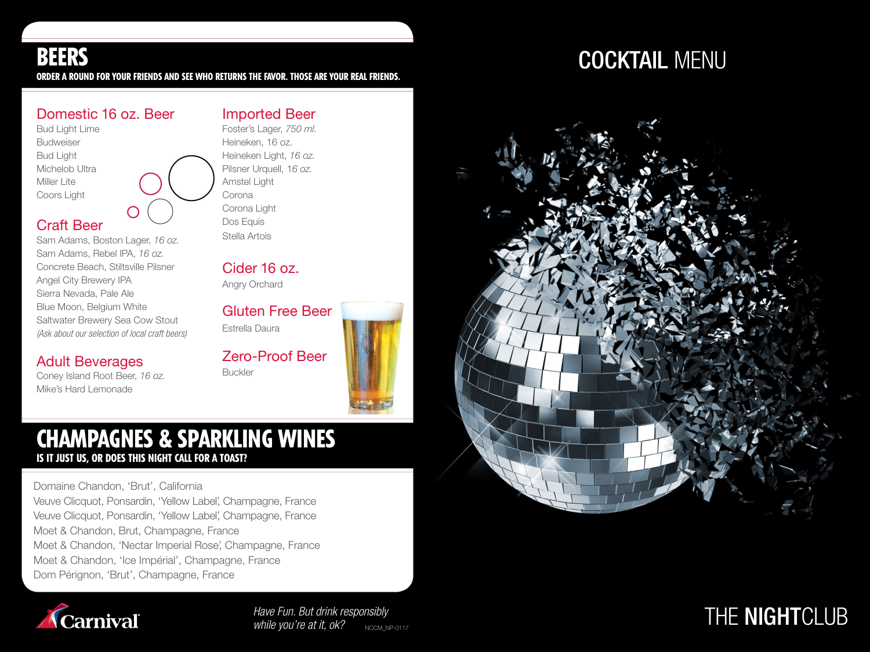ORDER A ROUND FOR YOUR FRIENDS AND SEE WHO RETURNS THE FAVOR. THOSE ARE YOUR REAL FRIENDS.

### Domestic 16 oz. Beer

Bud Light Lime Budweiser Bud Light Michelob Ultra Miller Lite Coors Light

### Craft Beer

Sam Adams, Boston Lager, 16 oz. Sam Adams, Rebel IPA, 16 oz. Concrete Beach, Stiltsville Pilsner Angel City Brewery IPA Sierra Nevada, Pale Ale Blue Moon, Belgium White Saltwater Brewery Sea Cow Stout *(Ask about our selection of local craft beers)*

### Adult Beverages

Coney Island Root Beer, 16 oz. Mike's Hard Lemonade

### Foster's Lager, 750 ml. Heineken, 16 oz.

Heineken Light, 16 oz. Pilsner Urquell, 16 oz. Amstel Light Corona Corona Light Dos Equis Stella Artois

Imported Beer

Cider 16 oz.

Angry Orchard

Gluten Free Beer Estrella Daura

Zero-Proof Beer Buckler

### CHAMPAGNES & SPARKLING WINES IS IT JUST US, OR DOES THIS NIGHT CALL FOR A TOAST?

Domaine Chandon, 'Brut', California Veuve Clicquot, Ponsardin, 'Yellow Label', Champagne, France Veuve Clicquot, Ponsardin, 'Yellow Label', Champagne, France Moet & Chandon, Brut, Champagne, France Moet & Chandon, 'Nectar Imperial Rose', Champagne, France Moet & Chandon, 'Ice Impérial', Champagne, France Dom Pérignon, 'Brut', Champagne, France



*Have Fun. But drink responsibly while you're at it, ok?*

# BEERS COCKTAIL MENU



## *NSibly* and the second of the second of the **NIGHT**CLUB